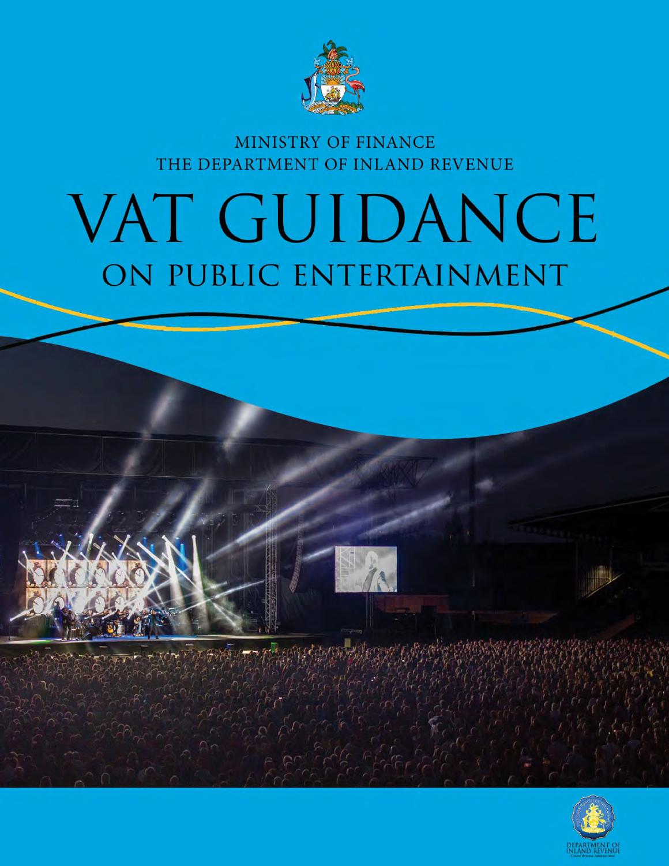

# MINISTRY OF FINANCE THE DEPARTMENT OF INLAND REVENUE

# VAT GUIDANCE ON PUBLIC ENTERTAINMENT

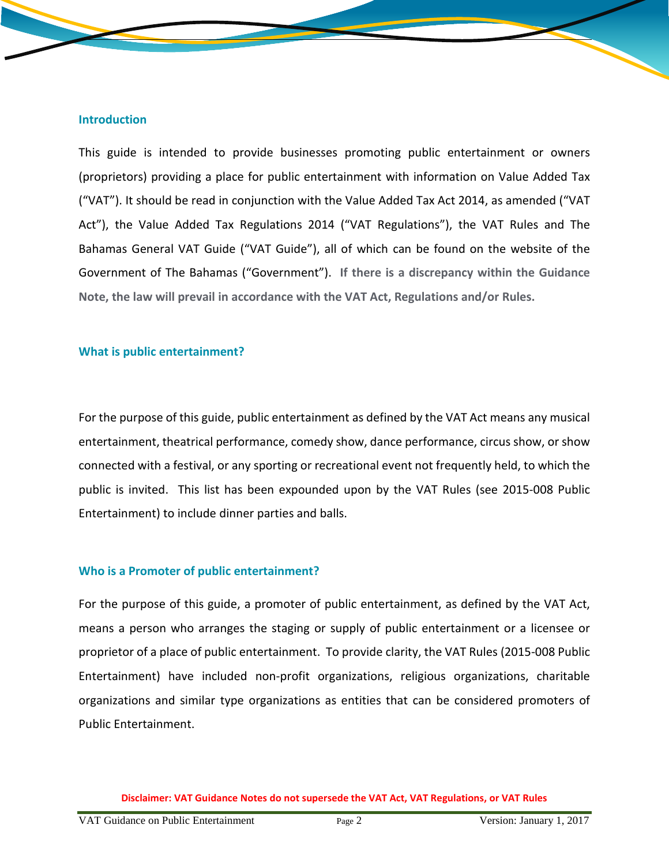#### **Introduction**

This guide is intended to provide businesses promoting public entertainment or owners (proprietors) providing a place for public entertainment with information on Value Added Tax ("VAT"). It should be read in conjunction with the Value Added Tax Act 2014, as amended ("VAT Act"), the Value Added Tax Regulations 2014 ("VAT Regulations"), the VAT Rules and The Bahamas General VAT Guide ("VAT Guide"), all of which can be found on the website of the Government of The Bahamas ("Government"). **If there is a discrepancy within the Guidance Note, the law will prevail in accordance with the VAT Act, Regulations and/or Rules.**

#### **What is public entertainment?**

For the purpose of this guide, public entertainment as defined by the VAT Act means any musical entertainment, theatrical performance, comedy show, dance performance, circus show, or show connected with a festival, or any sporting or recreational event not frequently held, to which the public is invited. This list has been expounded upon by the VAT Rules (see 2015-008 Public Entertainment) to include dinner parties and balls.

#### **Who is a Promoter of public entertainment?**

For the purpose of this guide, a promoter of public entertainment, as defined by the VAT Act, means a person who arranges the staging or supply of public entertainment or a licensee or proprietor of a place of public entertainment. To provide clarity, the VAT Rules (2015-008 Public Entertainment) have included non-profit organizations, religious organizations, charitable organizations and similar type organizations as entities that can be considered promoters of Public Entertainment.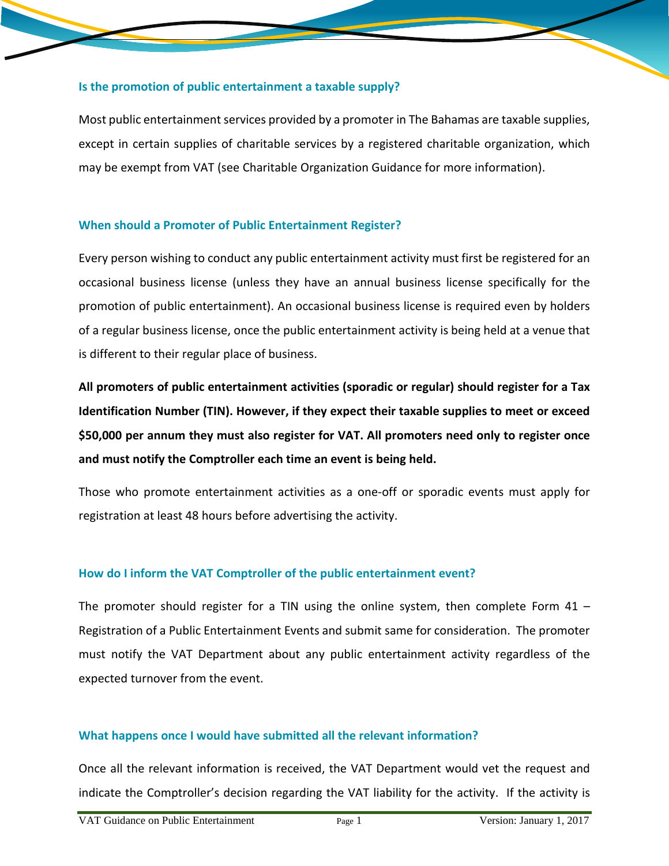#### **Is the promotion of public entertainment a taxable supply?**

Most public entertainment services provided by a promoter in The Bahamas are taxable supplies, except in certain supplies of charitable services by a registered charitable organization, which may be exempt from VAT (see Charitable Organization Guidance for more information).

#### **When should a Promoter of Public Entertainment Register?**

Every person wishing to conduct any public entertainment activity must first be registered for an occasional business license (unless they have an annual business license specifically for the promotion of public entertainment). An occasional business license is required even by holders of a regular business license, once the public entertainment activity is being held at a venue that is different to their regular place of business.

**All promoters of public entertainment activities (sporadic or regular) should register for a Tax Identification Number (TIN). However, if they expect their taxable supplies to meet or exceed \$50,000 per annum they must also register for VAT. All promoters need only to register once and must notify the Comptroller each time an event is being held.**

Those who promote entertainment activities as a one-off or sporadic events must apply for registration at least 48 hours before advertising the activity.

#### **How do I inform the VAT Comptroller of the public entertainment event?**

The promoter should register for a TIN using the online system, then complete Form  $41 -$ Registration of a Public Entertainment Events and submit same for consideration. The promoter must notify the VAT Department about any public entertainment activity regardless of the expected turnover from the event.

#### **What happens once I would have submitted all the relevant information?**

Once all the relevant information is received, the VAT Department would vet the request and indicate the Comptroller's decision regarding the VAT liability for the activity. If the activity is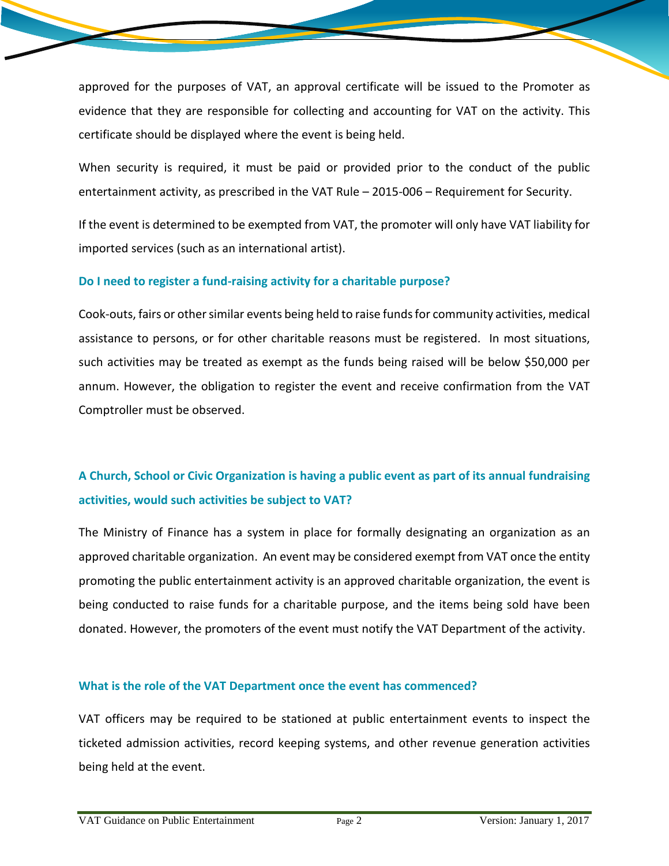approved for the purposes of VAT, an approval certificate will be issued to the Promoter as evidence that they are responsible for collecting and accounting for VAT on the activity. This certificate should be displayed where the event is being held.

When security is required, it must be paid or provided prior to the conduct of the public entertainment activity, as prescribed in the VAT Rule – 2015-006 – Requirement for Security.

If the event is determined to be exempted from VAT, the promoter will only have VAT liability for imported services (such as an international artist).

## **Do I need to register a fund-raising activity for a charitable purpose?**

Cook-outs, fairs or other similar events being held to raise funds for community activities, medical assistance to persons, or for other charitable reasons must be registered. In most situations, such activities may be treated as exempt as the funds being raised will be below \$50,000 per annum. However, the obligation to register the event and receive confirmation from the VAT Comptroller must be observed.

# **A Church, School or Civic Organization is having a public event as part of its annual fundraising activities, would such activities be subject to VAT?**

The Ministry of Finance has a system in place for formally designating an organization as an approved charitable organization. An event may be considered exempt from VAT once the entity promoting the public entertainment activity is an approved charitable organization, the event is being conducted to raise funds for a charitable purpose, and the items being sold have been donated. However, the promoters of the event must notify the VAT Department of the activity.

# **What is the role of the VAT Department once the event has commenced?**

VAT officers may be required to be stationed at public entertainment events to inspect the ticketed admission activities, record keeping systems, and other revenue generation activities being held at the event.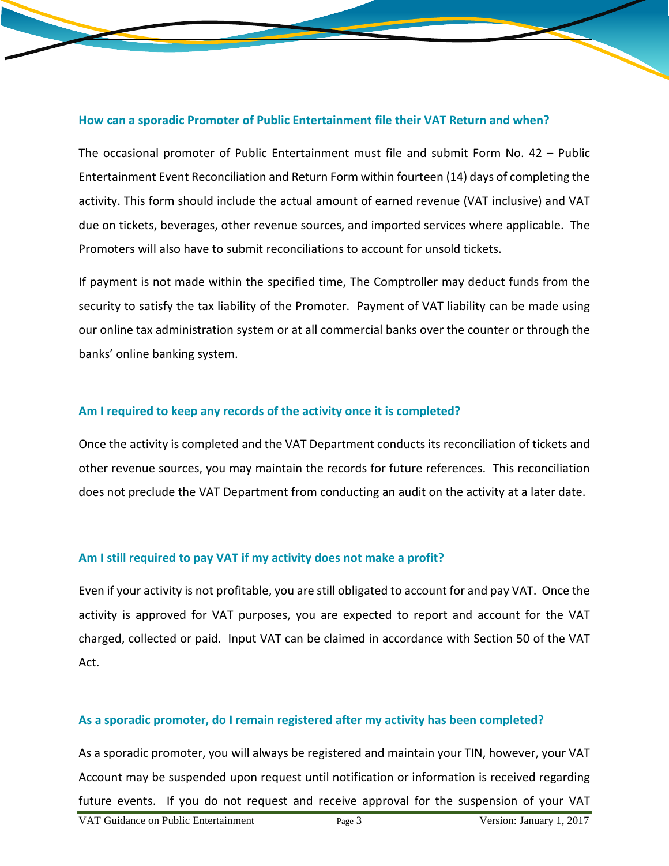#### **How can a sporadic Promoter of Public Entertainment file their VAT Return and when?**

The occasional promoter of Public Entertainment must file and submit Form No. 42 – Public Entertainment Event Reconciliation and Return Form within fourteen (14) days of completing the activity. This form should include the actual amount of earned revenue (VAT inclusive) and VAT due on tickets, beverages, other revenue sources, and imported services where applicable. The Promoters will also have to submit reconciliations to account for unsold tickets.

If payment is not made within the specified time, The Comptroller may deduct funds from the security to satisfy the tax liability of the Promoter. Payment of VAT liability can be made using our online tax administration system or at all commercial banks over the counter or through the banks' online banking system.

#### **Am I required to keep any records of the activity once it is completed?**

Once the activity is completed and the VAT Department conducts its reconciliation of tickets and other revenue sources, you may maintain the records for future references. This reconciliation does not preclude the VAT Department from conducting an audit on the activity at a later date.

#### **Am I still required to pay VAT if my activity does not make a profit?**

Even if your activity is not profitable, you are still obligated to account for and pay VAT. Once the activity is approved for VAT purposes, you are expected to report and account for the VAT charged, collected or paid. Input VAT can be claimed in accordance with Section 50 of the VAT Act.

#### **As a sporadic promoter, do I remain registered after my activity has been completed?**

As a sporadic promoter, you will always be registered and maintain your TIN, however, your VAT Account may be suspended upon request until notification or information is received regarding future events. If you do not request and receive approval for the suspension of your VAT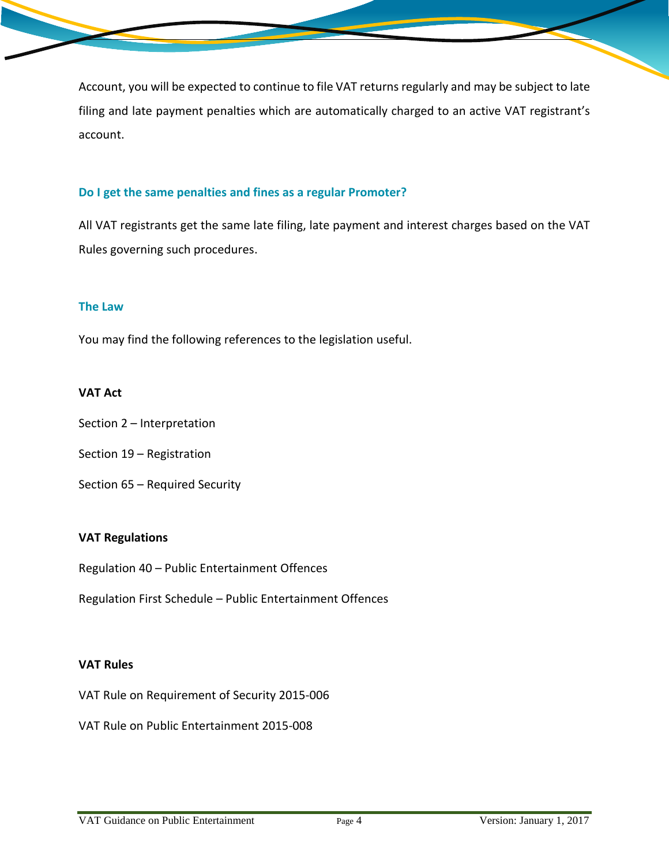Account, you will be expected to continue to file VAT returns regularly and may be subject to late filing and late payment penalties which are automatically charged to an active VAT registrant's account.

## **Do I get the same penalties and fines as a regular Promoter?**

All VAT registrants get the same late filing, late payment and interest charges based on the VAT Rules governing such procedures.

#### **The Law**

You may find the following references to the legislation useful.

## **VAT Act**

- Section 2 Interpretation
- Section 19 Registration
- Section 65 Required Security

#### **VAT Regulations**

Regulation 40 – Public Entertainment Offences

Regulation First Schedule – Public Entertainment Offences

#### **VAT Rules**

VAT Rule on Requirement of Security 2015-006

VAT Rule on Public Entertainment 2015-008